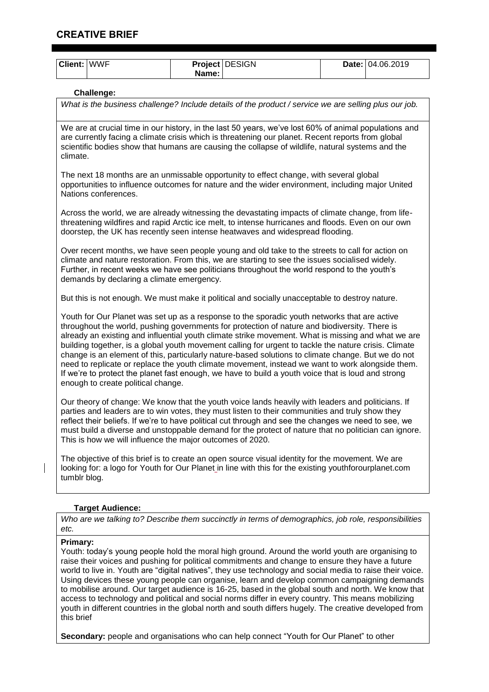# **CREATIVE BRIEF**

| <b>Client: WWF</b>                                                                                                                                                                                                                                                                                                                                                                                                                                                                                                                                                                                                                                                                                                                                                 |                   | Name: | Project DESIGN                                                                                                                                                                                       |  | Date: 04.06.2019 |
|--------------------------------------------------------------------------------------------------------------------------------------------------------------------------------------------------------------------------------------------------------------------------------------------------------------------------------------------------------------------------------------------------------------------------------------------------------------------------------------------------------------------------------------------------------------------------------------------------------------------------------------------------------------------------------------------------------------------------------------------------------------------|-------------------|-------|------------------------------------------------------------------------------------------------------------------------------------------------------------------------------------------------------|--|------------------|
|                                                                                                                                                                                                                                                                                                                                                                                                                                                                                                                                                                                                                                                                                                                                                                    | <b>Challenge:</b> |       |                                                                                                                                                                                                      |  |                  |
| What is the business challenge? Include details of the product / service we are selling plus our job.                                                                                                                                                                                                                                                                                                                                                                                                                                                                                                                                                                                                                                                              |                   |       |                                                                                                                                                                                                      |  |                  |
| We are at crucial time in our history, in the last 50 years, we've lost 60% of animal populations and<br>are currently facing a climate crisis which is threatening our planet. Recent reports from global<br>scientific bodies show that humans are causing the collapse of wildlife, natural systems and the<br>climate.                                                                                                                                                                                                                                                                                                                                                                                                                                         |                   |       |                                                                                                                                                                                                      |  |                  |
| The next 18 months are an unmissable opportunity to effect change, with several global<br>opportunities to influence outcomes for nature and the wider environment, including major United<br>Nations conferences.                                                                                                                                                                                                                                                                                                                                                                                                                                                                                                                                                 |                   |       |                                                                                                                                                                                                      |  |                  |
| Across the world, we are already witnessing the devastating impacts of climate change, from life-<br>threatening wildfires and rapid Arctic ice melt, to intense hurricanes and floods. Even on our own<br>doorstep, the UK has recently seen intense heatwaves and widespread flooding.                                                                                                                                                                                                                                                                                                                                                                                                                                                                           |                   |       |                                                                                                                                                                                                      |  |                  |
| Over recent months, we have seen people young and old take to the streets to call for action on<br>climate and nature restoration. From this, we are starting to see the issues socialised widely.<br>Further, in recent weeks we have see politicians throughout the world respond to the youth's<br>demands by declaring a climate emergency.                                                                                                                                                                                                                                                                                                                                                                                                                    |                   |       |                                                                                                                                                                                                      |  |                  |
| But this is not enough. We must make it political and socially unacceptable to destroy nature.                                                                                                                                                                                                                                                                                                                                                                                                                                                                                                                                                                                                                                                                     |                   |       |                                                                                                                                                                                                      |  |                  |
| Youth for Our Planet was set up as a response to the sporadic youth networks that are active<br>throughout the world, pushing governments for protection of nature and biodiversity. There is<br>already an existing and influential youth climate strike movement. What is missing and what we are<br>building together, is a global youth movement calling for urgent to tackle the nature crisis. Climate<br>change is an element of this, particularly nature-based solutions to climate change. But we do not<br>need to replicate or replace the youth climate movement, instead we want to work alongside them.<br>If we're to protect the planet fast enough, we have to build a youth voice that is loud and strong<br>enough to create political change. |                   |       |                                                                                                                                                                                                      |  |                  |
| Our theory of change: We know that the youth voice lands heavily with leaders and politicians. If<br>parties and leaders are to win votes, they must listen to their communities and truly show they<br>reflect their beliefs. If we're to have political cut through and see the changes we need to see, we<br>must build a diverse and unstoppable demand for the protect of nature that no politician can ignore.<br>This is how we will influence the major outcomes of 2020.                                                                                                                                                                                                                                                                                  |                   |       |                                                                                                                                                                                                      |  |                  |
| The objective of this brief is to create an open source visual identity for the movement. We are<br>looking for: a logo for Youth for Our Planet in line with this for the existing youthforourplanet.com<br>tumblr blog.                                                                                                                                                                                                                                                                                                                                                                                                                                                                                                                                          |                   |       |                                                                                                                                                                                                      |  |                  |
| <b>Target Audience:</b>                                                                                                                                                                                                                                                                                                                                                                                                                                                                                                                                                                                                                                                                                                                                            |                   |       |                                                                                                                                                                                                      |  |                  |
| etc.                                                                                                                                                                                                                                                                                                                                                                                                                                                                                                                                                                                                                                                                                                                                                               |                   |       | Who are we talking to? Describe them succinctly in terms of demographics, job role, responsibilities                                                                                                 |  |                  |
| Primary:                                                                                                                                                                                                                                                                                                                                                                                                                                                                                                                                                                                                                                                                                                                                                           |                   |       | Youth: today's young people hold the moral high ground. Around the world youth are organising to<br>raise their voices and pushing for political commitments and change to ensure they have a future |  |                  |

raise their voices and pushing for political commitments and change to ensure they have a future world to live in. Youth are "digital natives", they use technology and social media to raise their voice. Using devices these young people can organise, learn and develop common campaigning demands to mobilise around. Our target audience is 16-25, based in the global south and north. We know that access to technology and political and social norms differ in every country. This means mobilizing youth in different countries in the global north and south differs hugely. The creative developed from this brief

Secondary: people and organisations who can help connect "Youth for Our Planet" to other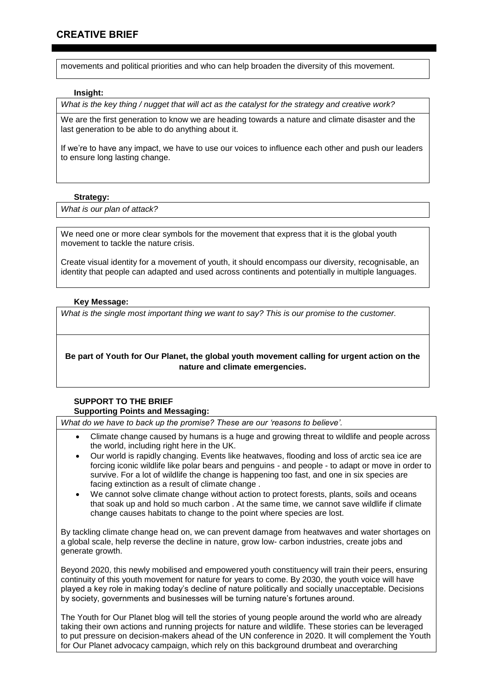movements and political priorities and who can help broaden the diversity of this movement.

### **Insight:**

*What is the key thing / nugget that will act as the catalyst for the strategy and creative work?*

We are the first generation to know we are heading towards a nature and climate disaster and the last generation to be able to do anything about it.

If we're to have any impact, we have to use our voices to influence each other and push our leaders to ensure long lasting change.

### **Strategy:**

*What is our plan of attack?* 

We need one or more clear symbols for the movement that express that it is the global youth movement to tackle the nature crisis.

Create visual identity for a movement of youth, it should encompass our diversity, recognisable, an identity that people can adapted and used across continents and potentially in multiple languages.

# **Key Message:**

*What is the single most important thing we want to say? This is our promise to the customer.*

# **Be part of Youth for Our Planet, the global youth movement calling for urgent action on the nature and climate emergencies.**

## **SUPPORT TO THE BRIEF Supporting Points and Messaging:**

*What do we have to back up the promise? These are our 'reasons to believe'.*

- Climate change caused by humans is a huge and growing threat to wildlife and people across the world, including right here in the UK.
- Our world is rapidly changing. Events like heatwaves, flooding and loss of arctic sea ice are forcing iconic wildlife like polar bears and penguins - and people - to adapt or move in order to survive. For a lot of wildlife the change is happening too fast, and one in six species are facing extinction as a result of climate change .
- We cannot solve climate change without action to protect forests, plants, soils and oceans that soak up and hold so much carbon . At the same time, we cannot save wildlife if climate change causes habitats to change to the point where species are lost.

By tackling climate change head on, we can prevent damage from heatwaves and water shortages on a global scale, help reverse the decline in nature, grow low- carbon industries, create jobs and generate growth.

Beyond 2020, this newly mobilised and empowered youth constituency will train their peers, ensuring continuity of this youth movement for nature for years to come. By 2030, the youth voice will have played a key role in making today's decline of nature politically and socially unacceptable. Decisions by society, governments and businesses will be turning nature's fortunes around.

The Youth for Our Planet blog will tell the stories of young people around the world who are already taking their own actions and running projects for nature and wildlife. These stories can be leveraged to put pressure on decision-makers ahead of the UN conference in 2020. It will complement the Youth for Our Planet advocacy campaign, which rely on this background drumbeat and overarching